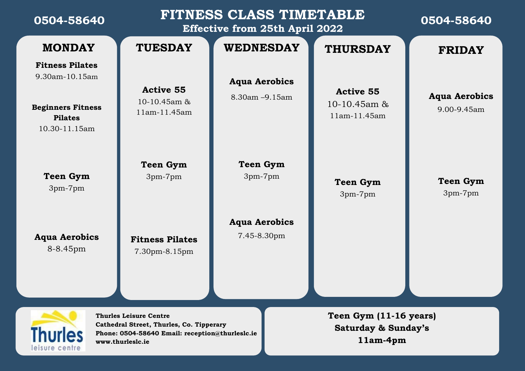| 0504-58640                                                                                                                                                                          | FITNESS CLASS TIMETABLE<br><b>Effective from 25th April 2022</b> |                                        |                                                                      | 0504-58640                          |  |
|-------------------------------------------------------------------------------------------------------------------------------------------------------------------------------------|------------------------------------------------------------------|----------------------------------------|----------------------------------------------------------------------|-------------------------------------|--|
| <b>MONDAY</b>                                                                                                                                                                       | <b>TUESDAY</b>                                                   | <b>WEDNESDAY</b>                       | <b>THURSDAY</b>                                                      | <b>FRIDAY</b>                       |  |
| <b>Fitness Pilates</b><br>9.30am-10.15am<br><b>Beginners Fitness</b><br><b>Pilates</b><br>10.30-11.15am                                                                             | <b>Active 55</b><br>10-10.45 $am \&$<br>11am-11.45am             | <b>Aqua Aerobics</b><br>8.30am -9.15am | <b>Active 55</b><br>$10-10.45$ am &<br>11am-11.45am                  | <b>Aqua Aerobics</b><br>9.00-9.45am |  |
| <b>Teen Gym</b><br>$3pm-7pm$                                                                                                                                                        | <b>Teen Gym</b><br>3pm-7pm                                       | <b>Teen Gym</b><br>3pm-7pm             | <b>Teen Gym</b><br>3pm-7pm                                           | <b>Teen Gym</b><br>3pm-7pm          |  |
| <b>Aqua Aerobics</b><br>8-8.45pm                                                                                                                                                    | <b>Fitness Pilates</b><br>7.30pm-8.15pm                          | <b>Aqua Aerobics</b><br>7.45-8.30pm    |                                                                      |                                     |  |
| <b>Thurles Leisure Centre</b><br>Cathedral Street, Thurles, Co. Tipperary<br><b>Thurles</b><br>Phone: 0504-58640 Email: reception@thurleslc.ie<br>www.thurleslc.ie<br>eisure centri |                                                                  |                                        | Teen Gym (11-16 years)<br><b>Saturday &amp; Sunday's</b><br>11am-4pm |                                     |  |